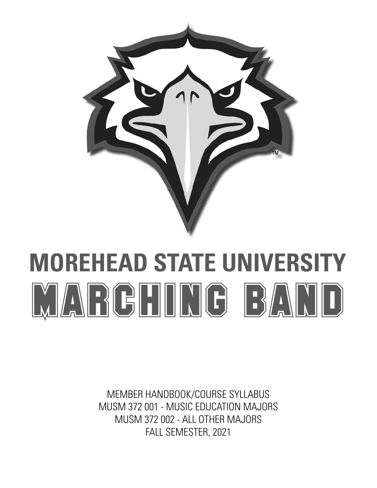

# **MOREHEAD STATE UNIVERSITY** MARCHING BAND

MEMBER HANDBOOK/COURSE SYLLABUS MUSM 372 001 - MUSIC EDUCATION MAJORS MUSM 372 002 - ALL OTHER MAJORS FALL SEMESTER, 2021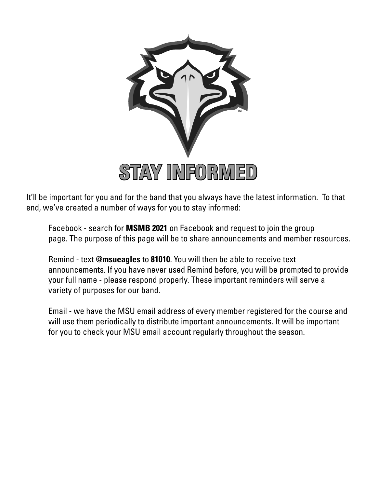

It'll be important for you and for the band that you always have the latest information. To that end, we've created a number of ways for you to stay informed:

Facebook - search for **MSMB 2021** on Facebook and request to join the group page. The purpose of this page will be to share announcements and member resources.

Remind - text **@msueagles** to **81010**. You will then be able to receive text announcements. If you have never used Remind before, you will be prompted to provide your full name - please respond properly. These important reminders will serve a variety of purposes for our band.

Email - we have the MSU email address of every member registered for the course and will use them periodically to distribute important announcements. It will be important for you to check your MSU email account regularly throughout the season.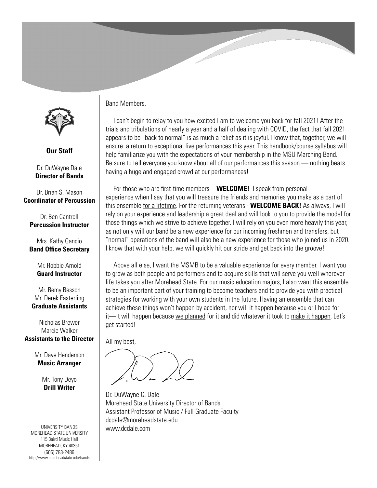

**Our Staff**

Dr. DuWayne Dale **Director of Bands**

Dr. Brian S. Mason **Coordinator of Percussion**

Dr. Ben Cantrell **Percussion Instructor**

Mrs. Kathy Gancio **Band Office Secretary**

> Mr. Robbie Arnold **Guard Instructor**

Mr. Remy Besson Mr. Derek Easterling **Graduate Assistants**

Nicholas Brewer Marcie Walker **Assistants to the Director**

> Mr. Dave Henderson **Music Arranger**

> > Mr. Tony Deyo **Drill Writer**

UNIVERSITY BANDS MOREHEAD STATE UNIVERSITY 115 Baird Music Hall MOREHEAD, KY 40351 (606) 783-2486 http://www.moreheadstate.edu/bands Band Members,

 I can't begin to relay to you how excited I am to welcome you back for fall 2021! After the trials and tribulations of nearly a year and a half of dealing with COVID, the fact that fall 2021 appears to be "back to normal" is as much a relief as it is joyful. I know that, together, we will ensure a return to exceptional live performances this year. This handbook/course syllabus will help familiarize you with the expectations of your membership in the MSU Marching Band. Be sure to tell everyone you know about all of our performances this season — nothing beats having a huge and engaged crowd at our performances!

 For those who are first-time members—**WELCOME!** I speak from personal experience when I say that you will treasure the friends and memories you make as a part of this ensemble for a lifetime. For the returning veterans - **WELCOME BACK!** As always, I will rely on your experience and leadership a great deal and will look to you to provide the model for those things which we strive to achieve together. I will rely on you even more heavily this year, as not only will our band be a new experience for our incoming freshmen and transfers, but "normal" operations of the band will also be a new experience for those who joined us in 2020. I know that with your help, we will quickly hit our stride and get back into the groove!

 Above all else, I want the MSMB to be a valuable experience for every member. I want you to grow as both people and performers and to acquire skills that will serve you well wherever life takes you after Morehead State. For our music education majors, I also want this ensemble to be an important part of your training to become teachers and to provide you with practical strategies for working with your own students in the future. Having an ensemble that can achieve these things won't happen by accident, nor will it happen because you or I hope for it—it will happen because we planned for it and did whatever it took to make it happen. Let's get started!

All my best,

Dr. DuWayne C. Dale Morehead State University Director of Bands Assistant Professor of Music / Full Graduate Faculty dcdale@moreheadstate.edu www.dcdale.com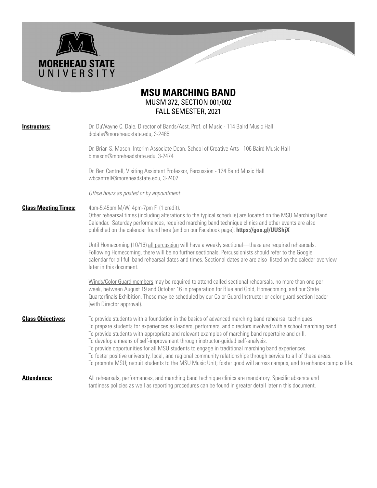

**MOREHEAD STATE**<br>U N I V E R S I T Y

| Instructors:                | Dr. DuWayne C. Dale, Director of Bands/Asst. Prof. of Music - 114 Baird Music Hall<br>dcdale@moreheadstate.edu, 3-2485                                                                                                                                                                                                                                                                                                                                                                                                                                                                                                                                                                                                                                          |
|-----------------------------|-----------------------------------------------------------------------------------------------------------------------------------------------------------------------------------------------------------------------------------------------------------------------------------------------------------------------------------------------------------------------------------------------------------------------------------------------------------------------------------------------------------------------------------------------------------------------------------------------------------------------------------------------------------------------------------------------------------------------------------------------------------------|
|                             | Dr. Brian S. Mason, Interim Associate Dean, School of Creative Arts - 106 Baird Music Hall<br>b.mason@moreheadstate.edu, 3-2474                                                                                                                                                                                                                                                                                                                                                                                                                                                                                                                                                                                                                                 |
|                             | Dr. Ben Cantrell, Visiting Assistant Professor, Percussion - 124 Baird Music Hall<br>wbcantrell@moreheadstate.edu, 3-2402                                                                                                                                                                                                                                                                                                                                                                                                                                                                                                                                                                                                                                       |
|                             | Office hours as posted or by appointment                                                                                                                                                                                                                                                                                                                                                                                                                                                                                                                                                                                                                                                                                                                        |
| <b>Class Meeting Times:</b> | 4pm-5:45pm M/W, 4pm-7pm F (1 credit).<br>Other rehearsal times (including alterations to the typical schedule) are located on the MSU Marching Band<br>Calendar. Saturday performances, required marching band technique clinics and other events are also<br>published on the calendar found here (and on our Facebook page): https://goo.gl/UUShjX                                                                                                                                                                                                                                                                                                                                                                                                            |
|                             | Until Homecoming (10/16) all percussion will have a weekly sectional-these are required rehearsals.<br>Following Homecoming, there will be no further sectionals. Percussionists should refer to the Google<br>calendar for all full band rehearsal dates and times. Sectional dates are are also listed on the caledar overview<br>later in this document.                                                                                                                                                                                                                                                                                                                                                                                                     |
|                             | Winds/Color Guard members may be required to attend called sectional rehearsals, no more than one per<br>week, between August 19 and October 16 in preparation for Blue and Gold, Homecoming, and our State<br>Quarterfinals Exhibition. These may be scheduled by our Color Guard Instructor or color guard section leader<br>(with Director approval).                                                                                                                                                                                                                                                                                                                                                                                                        |
| <b>Class Objectives:</b>    | To provide students with a foundation in the basics of advanced marching band rehearsal techniques.<br>To prepare students for experiences as leaders, performers, and directors involved with a school marching band.<br>To provide students with appropriate and relevant examples of marching band repertoire and drill.<br>To develop a means of self-improvement through instructor-guided self-analysis.<br>To provide opportunities for all MSU students to engage in traditional marching band experiences.<br>To foster positive university, local, and regional community relationships through service to all of these areas.<br>To promote MSU; recruit students to the MSU Music Unit; foster good will across campus, and to enhance campus life. |
| <b>Attendance:</b>          | All rehearsals, performances, and marching band technique clinics are mandatory. Specific absence and<br>tardiness policies as well as reporting procedures can be found in greater detail later n this document.                                                                                                                                                                                                                                                                                                                                                                                                                                                                                                                                               |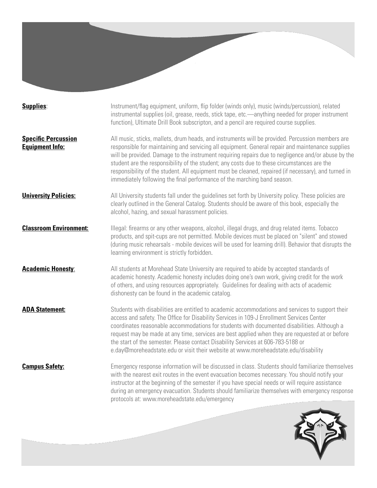**Supplies:** Instrument/flag equipment, uniform, flip folder (winds only), music (winds/percussion), related instrumental supplies (oil, grease, reeds, stick tape, etc.—anything needed for proper instrument function), Ultimate Drill Book subscripton, and a pencil are required course supplies.

**Specific Percussion** All music, sticks, mallets, drum heads, and instruments will be provided. Percussion members are **Equipment Info:** responsible for maintaining and servicing all equipment. General repair and maintenance supplies will be provided. Damage to the instrument requiring repairs due to negligence and/or abuse by the student are the responsibility of the student; any costs due to these circumstances are the responsibility of the student. All equipment must be cleaned, repaired (if necessary), and turned in immediately following the final performance of the marching band season.

**University Policies:** All University students fall under the quidelines set forth by University policy. These policies are clearly outlined in the General Catalog. Students should be aware of this book, especially the alcohol, hazing, and sexual harassment policies.

**Classroom Environment:** Illegal: firearms or any other weapons, alcohol, illegal drugs, and drug related items. Tobacco products, and spit-cups are not permitted. Mobile devices must be placed on "silent" and stowed (during music rehearsals - mobile devices will be used for learning drill). Behavior that disrupts the learning environment is strictly forbidden.

**Academic Honesty**: All students at Morehead State University are required to abide by accepted standards of academic honesty. Academic honesty includes doing one's own work, giving credit for the work of others, and using resources appropriately. Guidelines for dealing with acts of academic dishonesty can be found in the academic catalog.

**ADA Statement:** Students with disabilities are entitled to academic accommodations and services to support their access and safety. The Office for Disability Services in 109-J Enrollment Services Center coordinates reasonable accommodations for students with documented disabilities. Although a request may be made at any time, services are best applied when they are requested at or before the start of the semester. Please contact Disability Services at 606-783-5188 or e.day@moreheadstate.edu or visit their website at www.moreheadstate.edu/disability

**Campus Safety:** Emergency response information will be discussed in class. Students should familiarize themselves with the nearest exit routes in the event evacuation becomes necessary. You should notify your instructor at the beginning of the semester if you have special needs or will require assistance during an emergency evacuation. Students should familiarize themselves with emergency response protocols at: www.moreheadstate.edu/emergency

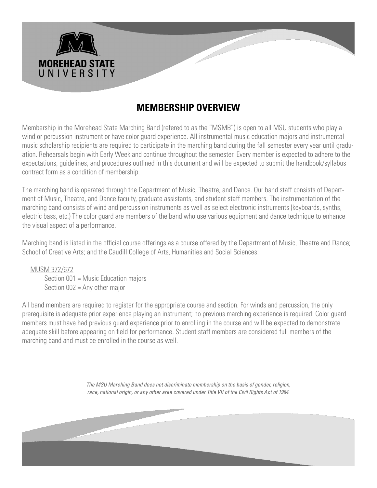

# **MEMBERSHIP OVERVIEW**

Membership in the Morehead State Marching Band (refered to as the "MSMB") is open to all MSU students who play a wind or percussion instrument or have color guard experience. All instrumental music education majors and instrumental music scholarship recipients are required to participate in the marching band during the fall semester every year until graduation. Rehearsals begin with Early Week and continue throughout the semester. Every member is expected to adhere to the expectations, guidelines, and procedures outlined in this document and will be expected to submit the handbook/syllabus contract form as a condition of membership.

The marching band is operated through the Department of Music, Theatre, and Dance. Our band staff consists of Department of Music, Theatre, and Dance faculty, graduate assistants, and student staff members. The instrumentation of the marching band consists of wind and percussion instruments as well as select electronic instruments (keyboards, synths, electric bass, etc.) The color guard are members of the band who use various equipment and dance technique to enhance the visual aspect of a performance.

Marching band is listed in the official course offerings as a course offered by the Department of Music, Theatre and Dance; School of Creative Arts; and the Caudill College of Arts, Humanities and Social Sciences:

 MUSM 372/672 Section 001 = Music Education majors Section 002 = Any other major

All band members are required to register for the appropriate course and section. For winds and percussion, the only prerequisite is adequate prior experience playing an instrument; no previous marching experience is required. Color guard members must have had previous guard experience prior to enrolling in the course and will be expected to demonstrate adequate skill before appearing on field for performance. Student staff members are considered full members of the marching band and must be enrolled in the course as well.

> *The MSU Marching Band does not discriminate membership on the basis of gender, religion, race, national origin, or any other area covered under Title VII of the Civil Rights Act of 1964.*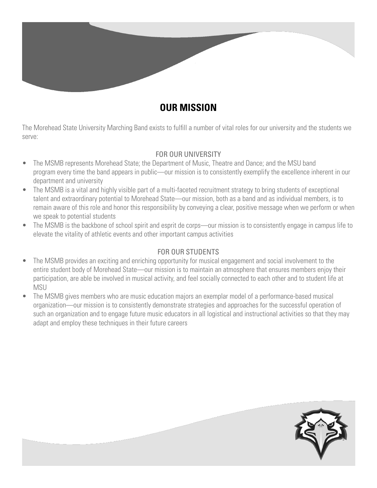

## **OUR MISSION**

The Morehead State University Marching Band exists to fulfill a number of vital roles for our university and the students we serve:

## FOR OUR UNIVERSITY

- The MSMB represents Morehead State; the Department of Music, Theatre and Dance; and the MSU band program every time the band appears in public—our mission is to consistently exemplify the excellence inherent in our department and university
- The MSMB is a vital and highly visible part of a multi-faceted recruitment strategy to bring students of exceptional talent and extraordinary potential to Morehead State—our mission, both as a band and as individual members, is to remain aware of this role and honor this responsibility by conveying a clear, positive message when we perform or when we speak to potential students
- The MSMB is the backbone of school spirit and esprit de corps—our mission is to consistently engage in campus life to elevate the vitality of athletic events and other important campus activities

## FOR OUR STUDENTS

- The MSMB provides an exciting and enriching opportunity for musical engagement and social involvement to the entire student body of Morehead State—our mission is to maintain an atmosphere that ensures members enjoy their participation, are able be involved in musical activity, and feel socially connected to each other and to student life at MSU
- The MSMB gives members who are music education majors an exemplar model of a performance-based musical organization—our mission is to consistently demonstrate strategies and approaches for the successful operation of such an organization and to engage future music educators in all logistical and instructional activities so that they may adapt and employ these techniques in their future careers

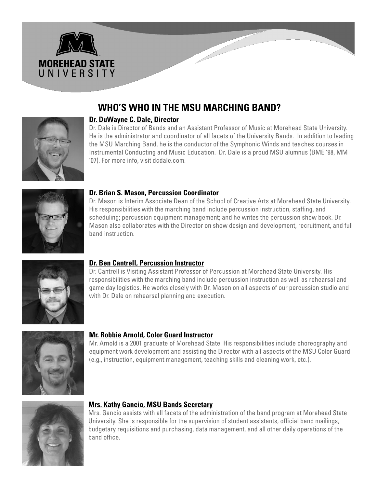

# **WHO'S WHO IN THE MSU MARCHING BAND?**



Dr. Dale is Director of Bands and an Assistant Professor of Music at Morehead State University. He is the administrator and coordinator of all facets of the University Bands. In addition to leading the MSU Marching Band, he is the conductor of the Symphonic Winds and teaches courses in Instrumental Conducting and Music Education. Dr. Dale is a proud MSU alumnus (BME '98, MM '07). For more info, visit dcdale.com.



## **Dr. Brian S. Mason, Percussion Coordinator**

Dr. Mason is Interim Associate Dean of the School of Creative Arts at Morehead State University. His responsibilities with the marching band include percussion instruction, staffing, and scheduling; percussion equipment management; and he writes the percussion show book. Dr. Mason also collaborates with the Director on show design and development, recruitment, and full band instruction.



## **Dr. Ben Cantrell, Percussion Instructor**

Dr. Cantrell is Visiting Assistant Professor of Percussion at Morehead State University. His responsibilities with the marching band include percussion instruction as well as rehearsal and game day logistics. He works closely with Dr. Mason on all aspects of our percussion studio and with Dr. Dale on rehearsal planning and execution.



## **Mr. Robbie Arnold, Color Guard Instructor**

Mr. Arnold is a 2001 graduate of Morehead State. His responsibilities include choreography and equipment work development and assisting the Director with all aspects of the MSU Color Guard (e.g., instruction, equipment management, teaching skills and cleaning work, etc.).



## **Mrs. Kathy Gancio, MSU Bands Secretary**

Mrs. Gancio assists with all facets of the administration of the band program at Morehead State University. She is responsible for the supervision of student assistants, official band mailings, budgetary requisitions and purchasing, data management, and all other daily operations of the band office.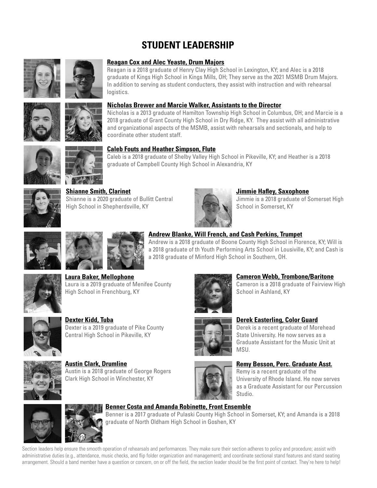# **STUDENT LEADERSHIP**





#### **Reagan Cox and Alec Yeaste, Drum Majors**

Reagan is a 2018 graduate of Henry Clay High School in Lexington, KY; and Alec is a 2018 graduate of Kings High School in Kings Mills, OH; They serve as the 2021 MSMB Drum Majors. In addition to serving as student conducters, they assist with instruction and with rehearsal logistics.

#### **Nicholas Brewer and Marcie Walker, Assistants to the Director**

Nicholas is a 2013 graduate of Hamilton Township High School in Columbus, OH; and Marcie is a 2018 graduate of Grant County High School in Dry Ridge, KY. They assist with all administrative and organizational aspects of the MSMB, assist with rehearsals and sectionals, and help to coordinate other student staff.





## **Shianne Smith, Clarinet** Shianne is a 2020 graduate of Bullitt Central

High School in Shepherdsville, KY



#### **Jimmie Hafley, Saxophone**

Jimmie is a 2018 graduate of Somerset High School in Somerset, KY







## **Andrew Blanke, Will French, and Cash Perkins, Trumpet**

Andrew is a 2018 graduate of Boone County High School in Florence, KY; Will is a 2018 graduate of th Youth Performing Arts School in Lousiville, KY; and Cash is a 2018 graduate of Minford High School in Southern, OH.

**Laura Baker, Mellophone** Laura is a 2019 graduate of Menifee County High School in Frenchburg, KY



**Dexter Kidd, Tuba** Dexter is a 2019 graduate of Pike County Central High School in Pikeville, KY



**Austin Clark, Drumline** Austin is a 2018 graduate of George Rogers Clark High School in Winchester, KY



#### **Cameron Webb, Trombone/Baritone**

Cameron is a 2018 graduate of Fairview High School in Ashland, KY

## **Derek Easterling, Color Guard**

Derek is a recent graduate of Morehead State University. He now serves as a Graduate Assistant for the Music Unit at MSU.



## **Remy Besson, Perc. Graduate Asst.**

Remy is a recent graduate of the University of Rhode Island. He now serves as a Graduate Assistant for our Percussion Studio.





#### **Benner Costa and Amanda Robinette, Front Ensemble**

Benner is a 2017 graduate of Pulaski County High School in Somerset, KY; and Amanda is a 2018 graduate of North Oldham High School in Goshen, KY

Section leaders help ensure the smooth operation of rehearsals and performances. They make sure their section adheres to policy and procedure; assist with administrative duties (e.g., attendance, music checks, and flip folder organization and management); and coordinate sectional stand features and stand seating arrangement. Should a band member have a question or concern, on or off the field, the section leader should be the first point of contact. They're here to help!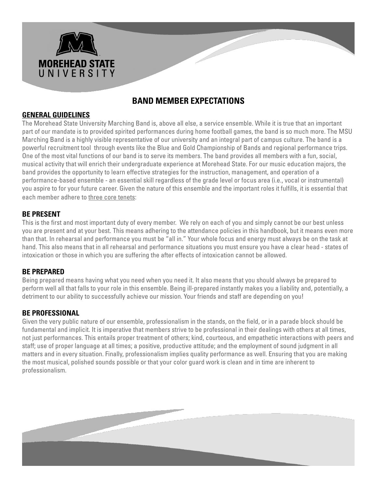

## **BAND MEMBER EXPECTATIONS**

## **GENERAL GUIDELINES**

The Morehead State University Marching Band is, above all else, a service ensemble. While it is true that an important part of our mandate is to provided spirited performances during home football games, the band is so much more. The MSU Marching Band is a highly visible representative of our university and an integral part of campus culture. The band is a powerful recruitment tool through events like the Blue and Gold Championship of Bands and regional performance trips. One of the most vital functions of our band is to serve its members. The band provides all members with a fun, social, musical activity that will enrich their undergraduate experience at Morehead State. For our music education majors, the band provides the opportunity to learn effective strategies for the instruction, management, and operation of a performance-based ensemble - an essential skill regardless of the grade level or focus area (i.e., vocal or instrumental) you aspire to for your future career. Given the nature of this ensemble and the important roles it fulfills, it is essential that each member adhere to three core tenets:

## **BE PRESENT**

This is the first and most important duty of every member. We rely on each of you and simply cannot be our best unless you are present and at your best. This means adhering to the attendance policies in this handbook, but it means even more than that. In rehearsal and performance you must be "all in." Your whole focus and energy must always be on the task at hand. This also means that in all rehearsal and performance situations you must ensure you have a clear head - states of intoxication or those in which you are suffering the after effects of intoxication cannot be allowed.

## **BE PREPARED**

Being prepared means having what you need when you need it. It also means that you should always be prepared to perform well all that falls to your role in this ensemble. Being ill-prepared instantly makes you a liability and, potentially, a detriment to our ability to successfully achieve our mission. Your friends and staff are depending on you!

## **BE PROFESSIONAL**

Given the very public nature of our ensemble, professionalism in the stands, on the field, or in a parade block should be fundamental and implicit. It is imperative that members strive to be professional in their dealings with others at all times, not just performances. This entails proper treatment of others; kind, courteous, and empathetic interactions with peers and staff; use of proper language at all times; a positive, productive attitude; and the employment of sound judgment in all matters and in every situation. Finally, professionalism implies quality performance as well. Ensuring that you are making the most musical, polished sounds possible or that your color guard work is clean and in time are inherent to professionalism.

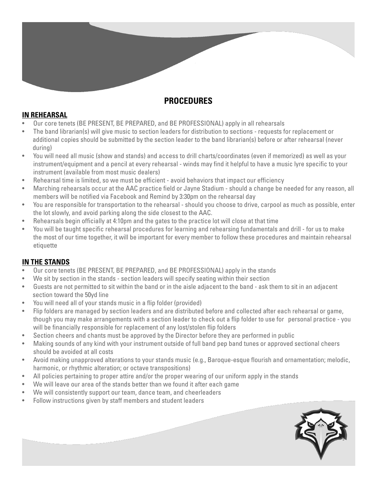## **PROCEDURES**

## **IN REHEARSAL**

- Our core tenets (BE PRESENT, BE PREPARED, and BE PROFESSIONAL) apply in all rehearsals
- The band librarian(s) will give music to section leaders for distribution to sections requests for replacement or additional copies should be submitted by the section leader to the band librarian(s) before or after rehearsal (never during)
- You will need all music (show and stands) and access to drill charts/coordinates (even if memorized) as well as your instrument/equipment and a pencil at every rehearsal - winds may find it helpful to have a music lyre specific to your instrument (available from most music dealers)
- Rehearsal time is limited, so we must be efficient avoid behaviors that impact our efficiency
- Marching rehearsals occur at the AAC practice field or Jayne Stadium should a change be needed for any reason, all members will be notified via Facebook and Remind by 3:30pm on the rehearsal day
- You are responsible for transportation to the rehearsal should you choose to drive, carpool as much as possible, enter the lot slowly, and avoid parking along the side closest to the AAC.
- Rehearsals begin officially at 4:10pm and the gates to the practice lot will close at that time
- You will be taught specific rehearsal procedures for learning and rehearsing fundamentals and drill for us to make the most of our time together, it will be important for every member to follow these procedures and maintain rehearsal etiquette

## **IN THE STANDS**

- Our core tenets (BE PRESENT, BE PREPARED, and BE PROFESSIONAL) apply in the stands
- We sit by section in the stands section leaders will specify seating within their section
- Guests are not permitted to sit within the band or in the aisle adjacent to the band ask them to sit in an adjacent section toward the 50yd line
- You will need all of your stands music in a flip folder (provided)
- Flip folders are managed by section leaders and are distributed before and collected after each rehearsal or game, though you may make arrangements with a section leader to check out a flip folder to use for personal practice - you will be financially responsible for replacement of any lost/stolen flip folders
- Section cheers and chants must be approved by the Director before they are performed in public
- Making sounds of any kind with your instrument outside of full band pep band tunes or approved sectional cheers should be avoided at all costs
- Avoid making unapproved alterations to your stands music (e.g., Baroque-esque flourish and ornamentation; melodic, harmonic, or rhythmic alteration; or octave transpositions)
- All policies pertaining to proper attire and/or the proper wearing of our uniform apply in the stands
- We will leave our area of the stands better than we found it after each game
- We will consistently support our team, dance team, and cheerleaders
- Follow instructions given by staff members and student leaders

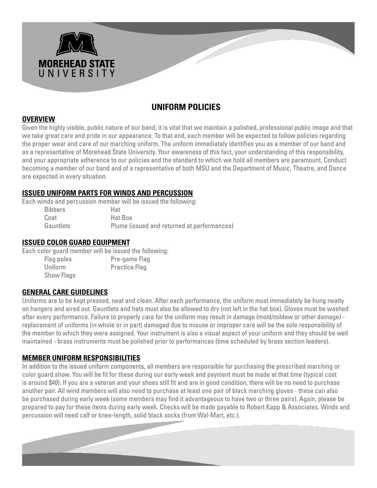

## **UNIFORM POLICIES**

## **OVERVIEW**

Given the highly visible, public nature of our band, it is vital that we maintain a polished, professional public image and that we take great care and pride in our appearance. To that end, each member will be expected to follow policies regarding the proper wear and care of our marching uniform. The uniform immediately identifies you as a member of our band and as a representative of Morehead State University. Your awareness of this fact, your understanding of this responsibility, and your appropriate adherence to our policies and the standard to which we hold all members are paramount. Conduct becoming a member of our band and of a representative of both MSU and the Department of Music, Theatre, and Dance are expected in every situation.

## **ISSUED UNIFORM PARTS FOR WINDS AND PERCUSSION**

Each winds and percussion member will be issued the following:

| <b>Bibbers</b> | Hat                                         |
|----------------|---------------------------------------------|
| Coat           | Hat Box                                     |
| Gauntlets      | Plume (issued and returned at performances) |

## **ISSUED COLOR GUARD EQUIPMENT**

Each color guard member will be issued the following:

| Flag poles        | Pre-game Flag        |
|-------------------|----------------------|
| Uniform           | <b>Practice Flag</b> |
| <b>Show Flags</b> |                      |

## **GENERAL CARE GUIDELINES**

Uniforms are to be kept pressed, neat and clean. After each performance, the uniform must immediately be hung neatly on hangers and aired out. Gauntlets and hats must also be allowed to dry (not left in the hat box). Gloves must be washed after every performance. Failure to properly care for the uniform may result in damage (mold/mildew or other damage) replacement of uniforms (in whole or in part) damaged due to misuse or improper care will be the sole responsibility of the member to which they were assigned. Your instrument is also a visual aspect of your uniform and they should be well maintained - brass instruments must be polished prior to performances (time scheduled by brass section leaders).

## **MEMBER UNIFORM RESPONSIBILITIES**

In addition to the issued uniform components, all members are responsible for purchasing the prescribed marching or color guard show. You will be fit for these during our early week and payment must be made at that time (typical cost is around \$40). If you are a veteran and your shoes still fit and are in good condition, there will be no need to purchase another pair. All wind members will also need to purchase at least one pair of black marching gloves - these can also be purchased during early week (some members may find it advantageous to have two or three pairs). Again, please be prepared to pay for these items during early week. Checks will be made payable to Robert Kapp & Associates. Winds and percussion will need calf or knee-length, solid black socks (from Wal-Mart, etc.).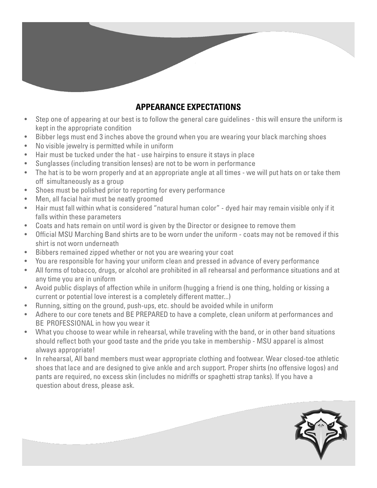## **APPEARANCE EXPECTATIONS**

- Step one of appearing at our best is to follow the general care guidelines this will ensure the uniform is kept in the appropriate condition
- Bibber legs must end 3 inches above the ground when you are wearing your black marching shoes
- No visible jewelry is permitted while in uniform
- Hair must be tucked under the hat use hairpins to ensure it stays in place
- Sunglasses (including transition lenses) are not to be worn in performance
- The hat is to be worn properly and at an appropriate angle at all times we will put hats on or take them off simultaneously as a group
- Shoes must be polished prior to reporting for every performance
- Men, all facial hair must be neatly groomed
- Hair must fall within what is considered "natural human color" dyed hair may remain visible only if it falls within these parameters
- Coats and hats remain on until word is given by the Director or designee to remove them
- Official MSU Marching Band shirts are to be worn under the uniform coats may not be removed if this shirt is not worn underneath
- Bibbers remained zipped whether or not you are wearing your coat
- You are responsible for having your uniform clean and pressed in advance of every performance
- All forms of tobacco, drugs, or alcohol are prohibited in all rehearsal and performance situations and at any time you are in uniform
- Avoid public displays of affection while in uniform (hugging a friend is one thing, holding or kissing a current or potential love interest is a completely different matter...)
- Running, sitting on the ground, push-ups, etc. should be avoided while in uniform
- Adhere to our core tenets and BE PREPARED to have a complete, clean uniform at performances and BE PROFESSIONAL in how you wear it
- What you choose to wear while in rehearsal, while traveling with the band, or in other band situations should reflect both your good taste and the pride you take in membership - MSU apparel is almost always appropriate!
- In rehearsal, All band members must wear appropriate clothing and footwear. Wear closed-toe athletic shoes that lace and are designed to give ankle and arch support. Proper shirts (no offensive logos) and pants are required, no excess skin (includes no midriffs or spaghetti strap tanks). If you have a question about dress, please ask.

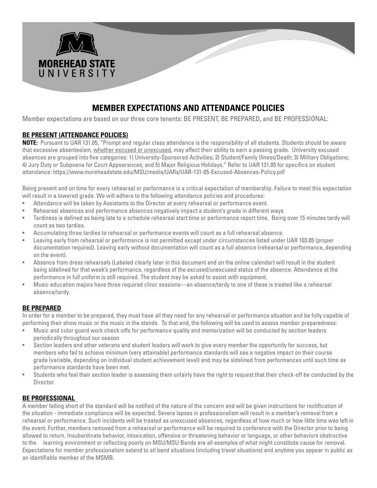

## **MEMBER EXPECTATIONS AND ATTENDANCE POLICIES**

Member expectations are based on our three core tenents: BE PRESENT, BE PREPARED, and BE PROFESSIONAL:

#### **BE PRESENT (ATTENDANCE POLICIES)**

**NOTE:** Pursuant to UAR 131.05, "Prompt and regular class attendance is the responsibility of all students. Students should be aware that excessive absenteeism, whether excused or unexcused, may affect their ability to earn a passing grade. University excused absences are grouped into five categories: 1) University-Sponsored Activities; 2) Student/Family Illness/Death; 3) Military Obligations; 4) Jury Duty or Subpoena for Court Appearances; and 5) Major Religious Holidays." Refer to UAR 131.05 for specifics on student attendance: https://www.moreheadstate.edu/MSU/media/UARs/UAR-131-05-Excused-Absences-Policy.pdf

Being present and on time for every rehearsal or performance is a critical expectation of membership. Failure to meet this expectation will result in a lowered grade. We will adhere to the following attendance policies and procedures:

- Attendance will be taken by Assistants to the Director at every rehearsal or performance event.
- Rehearsal absences and performance absences negatively impact a student's grade in different ways
- Tardiness is defined as being late to a schedule rehearsal start time or performance report time. Being over 15 minutes tardy will count as two tardies.
- Accumulating three tardies to rehearsal or performance events will count as a full rehearsal absence.
- Leaving early from rehearsal or performance is not permitted except under circumstances listed under UAR 103.05 (proper documentation required). Leaving early without documentation will count as a full absence (rehearsal or performance, depending on the event).
- Absence from dress rehearsals (Labeled clearly later in this document and on the online calendar) will result in the student being sidelined for that week's performance, regardless of the excused/unexcused status of the absence. Attendance at the performance in full uniform is still required. The student may be asked to assist with equipment.
- Music education majors have three required clinic sessions—an absence/tardy to one of these is treated like a rehearsal absence/tardy.

#### **BE PREPARED**

In order for a member to be prepared, they must have all they need for any rehearsal or performance situation and be fully capable of performing their show music or the music in the stands. To that end, the following will be used to assess member preparedness:

- Music and color guard work check-offs for performance quality and memorization will be conducted by section leaders periodically throughout our season
- Section leaders and other veterans and student leaders will work to give every member the opportunity for success, but members who fail to achieve minimum (very attainable) performance standards will see a negative impact on their course grade (variable, depending on individual student achievement level) and may be sidelined from performances until such time as performance standards have been met.
- Students who feel their section leader is assessing them unfairly have the right to request that their check-off be conducted by the Director.

#### **BE PROFESSIONAL**

A member falling short of the standard will be notified of the nature of the concern and will be given instructions for rectification of the situation - immediate compliance will be expected. Severe lapses in professionalism will result in a member's removal from a rehearsal or performance. Such incidents will be treated as unexcused absences, regardless of how much or how little time was left in the event. Further, members removed from a rehearsal or performance will be required to conference with the Director prior to being allowed to return. Insubordinate behavior, intoxication, offensive or threatening behavior or language, or other behaviors obstructive to the learning environment or reflecting poorly on MSU/MSU Bands are all examples of what might constitute cause for removal. Expectations for member professionalism extend to all band situations (including travel situations) and anytime you appear in public as an identifiable member of the MSMB.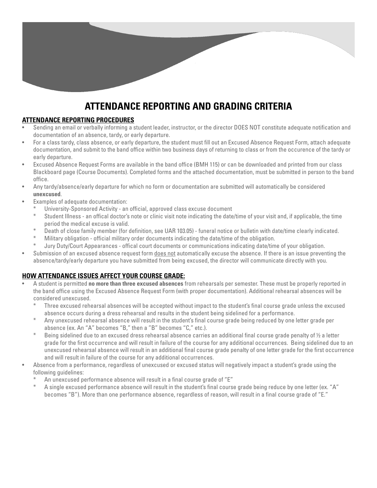# **ATTENDANCE REPORTING AND GRADING CRITERIA**

#### **ATTENDANCE REPORTING PROCEDURES**

- Sending an email or verbally informing a student leader, instructor, or the director DOES NOT constitute adequate notification and documentation of an absence, tardy, or early departure.
- For a class tardy, class absence, or early departure, the student must fill out an Excused Absence Request Form, attach adequate documentation, and submit to the band office within two business days of returning to class or from the occurence of the tardy or early departure.
- Excused Absence Request Forms are available in the band office (BMH 115) or can be downloaded and printed from our class Blackboard page (Course Documents). Completed forms and the attached documentation, must be submitted in person to the band office.
- Any tardy/absence/early departure for which no form or documentation are submitted will automatically be considered **unexcused**.
- Examples of adequate documentation:
	- University-Sponsored Activity an official, approved class excuse document
	- Student Illness an offical doctor's note or clinic visit note indicating the date/time of your visit and, if applicable, the time period the medical excuse is valid.
	- Death of close family member (for definition, see UAR 103.05) funeral notice or bulletin with date/time clearly indicated.
	- Military obligation official military order documents indicating the date/time of the obligation.
	- Jury Duty/Court Appearances offical court documents or communications indicating date/time of your obligation.
- Submission of an excused absence request form does not automatically excuse the absence. If there is an issue preventing the absence/tardy/early departure you have submitted from being excused, the director will communicate directly with you.

#### **HOW ATTENDANCE ISSUES AFFECT YOUR COURSE GRADE:**

- A student is permitted **no more than three excused absences** from rehearsals per semester. These must be properly reported in the band office using the Excused Absence Request Form (with proper documentation). Additional rehearsal absences will be considered unexcused.
	- Three excused rehearsal absences will be accepted without impact to the student's final course grade unless the excused absence occurs during a dress rehearsal and results in the student being sidelined for a performance.
	- Any unexcused rehearsal absence will result in the student's final course grade being reduced by one letter grade per absence (ex. An "A" becomes "B," then a "B" becomes "C," etc.).
	- Being sidelined due to an excused dress rehearsal absence carries an additional final course grade penalty of  $\frac{1}{2}$  a letter grade for the first occurrence and will result in failure of the course for any additional occurrences. Being sidelined due to an unexcused rehearsal absence will result in an additional final course grade penalty of one letter grade for the first occurrence and will result in failure of the course for any additional occurrences.
- Absence from a performance, regardless of unexcused or excused status will negatively impact a student's grade using the following guidelines:
	- An unexcused performance absence will result in a final course grade of "E"
	- A single excused performance absence will result in the student's final course grade being reduce by one letter (ex. "A" becomes "B"). More than one performance absence, regardless of reason, will result in a final course grade of "E."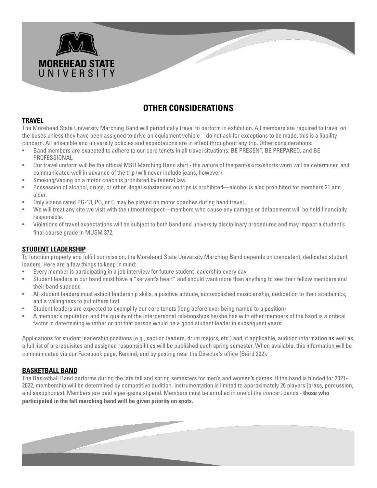

## **OTHER CONSIDERATIONS**

#### **TRAVEL**

The Morehead State University Marching Band will periodically travel to perform in exhibition. All members are required to travel on the buses unless they have been assigned to drive an equipment vehicle—do not ask for exceptions to be made, this is a liability concern. All ensemble and university policies and expectations are in effect throughout any trip. Other considerations:

- Band members are expected to adhere to our core tenets in all travel situations: BE PRESENT, BE PREPARED, and BE PROFESSIONAL
- Our travel uniform will be the official MSU Marching Band shirt the nature of the pant/skirts/shorts worn will be determined and communicated well in advance of the trip (will never include jeans, however)
- Smoking/Vaping on a motor coach is prohibited by federal law
- Possession of alcohol, drugs, or other illegal substances on trips is prohibited—alcohol is also prohibited for members 21 and older.
- Only videos rated PG-13, PG, or G may be played on motor coaches during band travel.
- We will treat any site we visit with the utmost respect—members who cause any damage or defacement will be held financially responsible.
- Violations of travel expectations will be subject to both band and university disciplinary procedures and may impact a student's final course grade in MUSM 372.

#### **STUDENT LEADERSHIP**

To function properly and fulfill our mission, the Morehead State University Marching Band depends on competent, dedicated student leaders. Here are a few things to keep in mind:

- Every member is participating in a job interview for future student leadership every day
- Student leaders in our band must have a "servant's heart" and should want more than anything to see their fellow members and their band succeed
- All student leaders must exhibit leadership skills, a positive attitude, accomplished musicianship, dedication to their academics, and a willingness to put others first
- Student leaders are expected to exemplify our core tenets (long before ever being named to a position)
- A member's reputation and the quality of the interpersonal relationships he/she has with other members of the band is a critical factor in determining whether or not that person would be a good student leader in subsequent years.

Applications for student leadership positions (e.g., section leaders, drum majors, etc.) and, if applicable, audition information as well as a full list of prerequisites and assigned responsibilities will be published each spring semester. When available, this information will be communicated via our Facebook page, Remind, and by posting near the Director's office (Baird 202).

#### **BASKETBALL BAND**

The Basketball Band performs during the late fall and spring semesters for men's and women's games. If the band is funded for 2021- 2022, membership will be determined by competitive audition. Instrumentation is limited to approximately 26 players (brass, percussion, and saxophones). Members are paid a per-game stipend. Members must be enrolled in one of the concert bands - **those who participated in the fall marching band will be given priority on spots.**

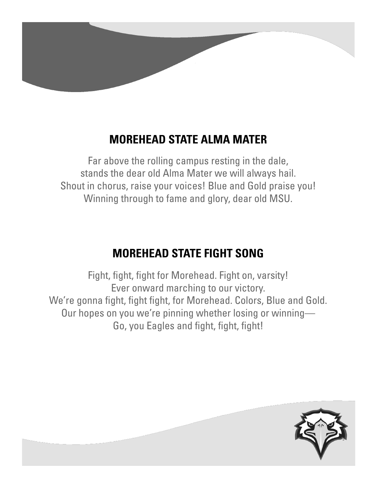

# **MOREHEAD STATE ALMA MATER**

Far above the rolling campus resting in the dale, stands the dear old Alma Mater we will always hail. Shout in chorus, raise your voices! Blue and Gold praise you! Winning through to fame and glory, dear old MSU.

# **MOREHEAD STATE FIGHT SONG**

Fight, fight, fight for Morehead. Fight on, varsity! Ever onward marching to our victory. We're gonna fight, fight fight, for Morehead. Colors, Blue and Gold. Our hopes on you we're pinning whether losing or winning— Go, you Eagles and fight, fight, fight!